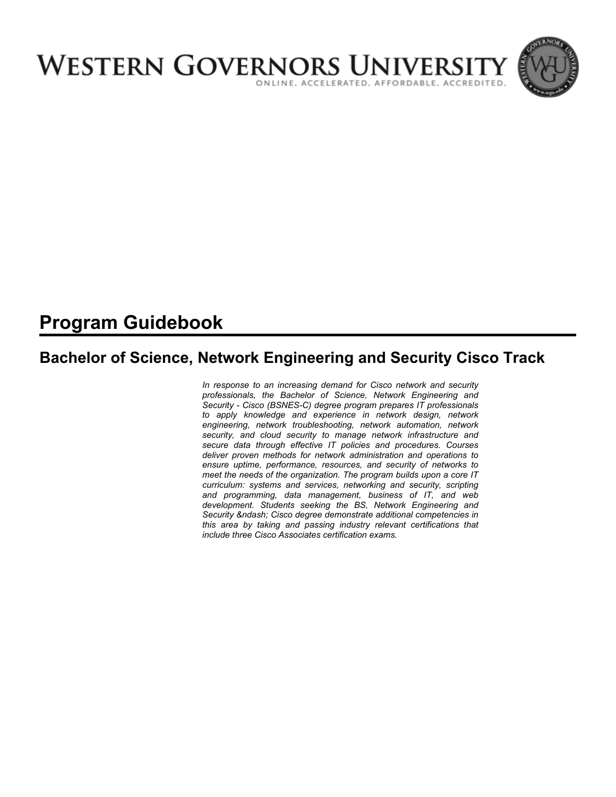

# **Program Guidebook**

# **Bachelor of Science, Network Engineering and Security Cisco Track**

*In response to an increasing demand for Cisco network and security professionals, the Bachelor of Science, Network Engineering and Security - Cisco (BSNES-C) degree program prepares IT professionals to apply knowledge and experience in network design, network engineering, network troubleshooting, network automation, network security, and cloud security to manage network infrastructure and secure data through effective IT policies and procedures. Courses deliver proven methods for network administration and operations to ensure uptime, performance, resources, and security of networks to meet the needs of the organization. The program builds upon a core IT curriculum: systems and services, networking and security, scripting and programming, data management, business of IT, and web development. Students seeking the BS, Network Engineering and*  Security – Cisco degree demonstrate additional competencies in *this area by taking and passing industry relevant certifications that include three Cisco Associates certification exams.*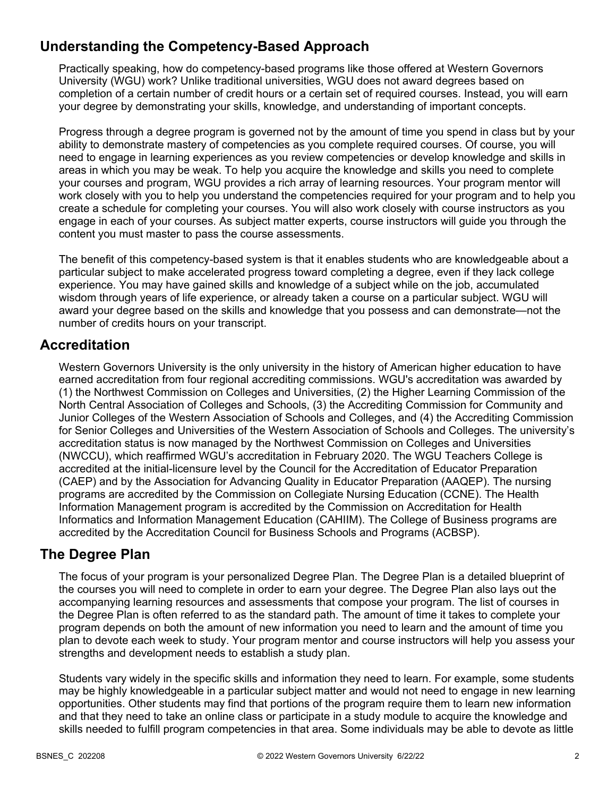## **Understanding the Competency-Based Approach**

Practically speaking, how do competency-based programs like those offered at Western Governors University (WGU) work? Unlike traditional universities, WGU does not award degrees based on completion of a certain number of credit hours or a certain set of required courses. Instead, you will earn your degree by demonstrating your skills, knowledge, and understanding of important concepts.

Progress through a degree program is governed not by the amount of time you spend in class but by your ability to demonstrate mastery of competencies as you complete required courses. Of course, you will need to engage in learning experiences as you review competencies or develop knowledge and skills in areas in which you may be weak. To help you acquire the knowledge and skills you need to complete your courses and program, WGU provides a rich array of learning resources. Your program mentor will work closely with you to help you understand the competencies required for your program and to help you create a schedule for completing your courses. You will also work closely with course instructors as you engage in each of your courses. As subject matter experts, course instructors will guide you through the content you must master to pass the course assessments.

The benefit of this competency-based system is that it enables students who are knowledgeable about a particular subject to make accelerated progress toward completing a degree, even if they lack college experience. You may have gained skills and knowledge of a subject while on the job, accumulated wisdom through years of life experience, or already taken a course on a particular subject. WGU will award your degree based on the skills and knowledge that you possess and can demonstrate—not the number of credits hours on your transcript.

## **Accreditation**

Western Governors University is the only university in the history of American higher education to have earned accreditation from four regional accrediting commissions. WGU's accreditation was awarded by (1) the Northwest Commission on Colleges and Universities, (2) the Higher Learning Commission of the North Central Association of Colleges and Schools, (3) the Accrediting Commission for Community and Junior Colleges of the Western Association of Schools and Colleges, and (4) the Accrediting Commission for Senior Colleges and Universities of the Western Association of Schools and Colleges. The university's accreditation status is now managed by the Northwest Commission on Colleges and Universities (NWCCU), which reaffirmed WGU's accreditation in February 2020. The WGU Teachers College is accredited at the initial-licensure level by the Council for the Accreditation of Educator Preparation (CAEP) and by the Association for Advancing Quality in Educator Preparation (AAQEP). The nursing programs are accredited by the Commission on Collegiate Nursing Education (CCNE). The Health Information Management program is accredited by the Commission on Accreditation for Health Informatics and Information Management Education (CAHIIM). The College of Business programs are accredited by the Accreditation Council for Business Schools and Programs (ACBSP).

### **The Degree Plan**

The focus of your program is your personalized Degree Plan. The Degree Plan is a detailed blueprint of the courses you will need to complete in order to earn your degree. The Degree Plan also lays out the accompanying learning resources and assessments that compose your program. The list of courses in the Degree Plan is often referred to as the standard path. The amount of time it takes to complete your program depends on both the amount of new information you need to learn and the amount of time you plan to devote each week to study. Your program mentor and course instructors will help you assess your strengths and development needs to establish a study plan.

Students vary widely in the specific skills and information they need to learn. For example, some students may be highly knowledgeable in a particular subject matter and would not need to engage in new learning opportunities. Other students may find that portions of the program require them to learn new information and that they need to take an online class or participate in a study module to acquire the knowledge and skills needed to fulfill program competencies in that area. Some individuals may be able to devote as little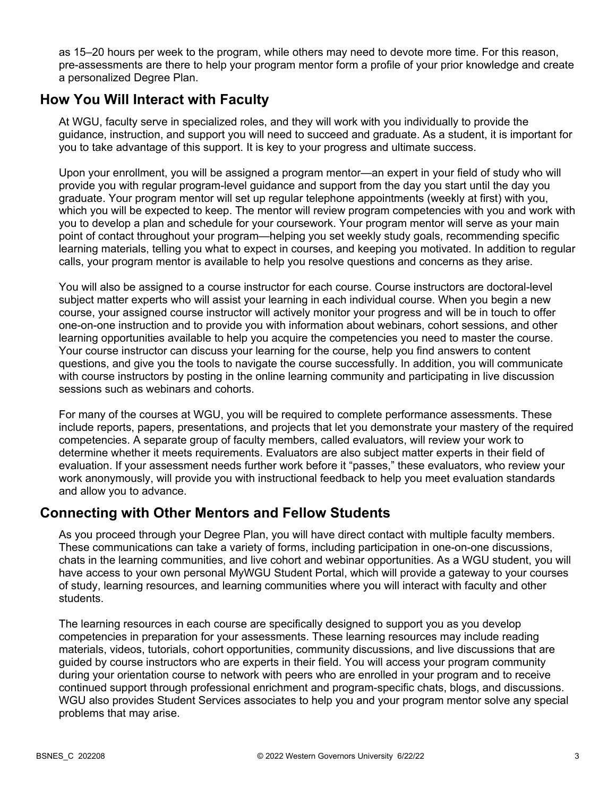as 15–20 hours per week to the program, while others may need to devote more time. For this reason, pre-assessments are there to help your program mentor form a profile of your prior knowledge and create a personalized Degree Plan.

## **How You Will Interact with Faculty**

At WGU, faculty serve in specialized roles, and they will work with you individually to provide the guidance, instruction, and support you will need to succeed and graduate. As a student, it is important for you to take advantage of this support. It is key to your progress and ultimate success.

Upon your enrollment, you will be assigned a program mentor—an expert in your field of study who will provide you with regular program-level guidance and support from the day you start until the day you graduate. Your program mentor will set up regular telephone appointments (weekly at first) with you, which you will be expected to keep. The mentor will review program competencies with you and work with you to develop a plan and schedule for your coursework. Your program mentor will serve as your main point of contact throughout your program—helping you set weekly study goals, recommending specific learning materials, telling you what to expect in courses, and keeping you motivated. In addition to regular calls, your program mentor is available to help you resolve questions and concerns as they arise.

You will also be assigned to a course instructor for each course. Course instructors are doctoral-level subject matter experts who will assist your learning in each individual course. When you begin a new course, your assigned course instructor will actively monitor your progress and will be in touch to offer one-on-one instruction and to provide you with information about webinars, cohort sessions, and other learning opportunities available to help you acquire the competencies you need to master the course. Your course instructor can discuss your learning for the course, help you find answers to content questions, and give you the tools to navigate the course successfully. In addition, you will communicate with course instructors by posting in the online learning community and participating in live discussion sessions such as webinars and cohorts.

For many of the courses at WGU, you will be required to complete performance assessments. These include reports, papers, presentations, and projects that let you demonstrate your mastery of the required competencies. A separate group of faculty members, called evaluators, will review your work to determine whether it meets requirements. Evaluators are also subject matter experts in their field of evaluation. If your assessment needs further work before it "passes," these evaluators, who review your work anonymously, will provide you with instructional feedback to help you meet evaluation standards and allow you to advance.

## **Connecting with Other Mentors and Fellow Students**

As you proceed through your Degree Plan, you will have direct contact with multiple faculty members. These communications can take a variety of forms, including participation in one-on-one discussions, chats in the learning communities, and live cohort and webinar opportunities. As a WGU student, you will have access to your own personal MyWGU Student Portal, which will provide a gateway to your courses of study, learning resources, and learning communities where you will interact with faculty and other students.

The learning resources in each course are specifically designed to support you as you develop competencies in preparation for your assessments. These learning resources may include reading materials, videos, tutorials, cohort opportunities, community discussions, and live discussions that are guided by course instructors who are experts in their field. You will access your program community during your orientation course to network with peers who are enrolled in your program and to receive continued support through professional enrichment and program-specific chats, blogs, and discussions. WGU also provides Student Services associates to help you and your program mentor solve any special problems that may arise.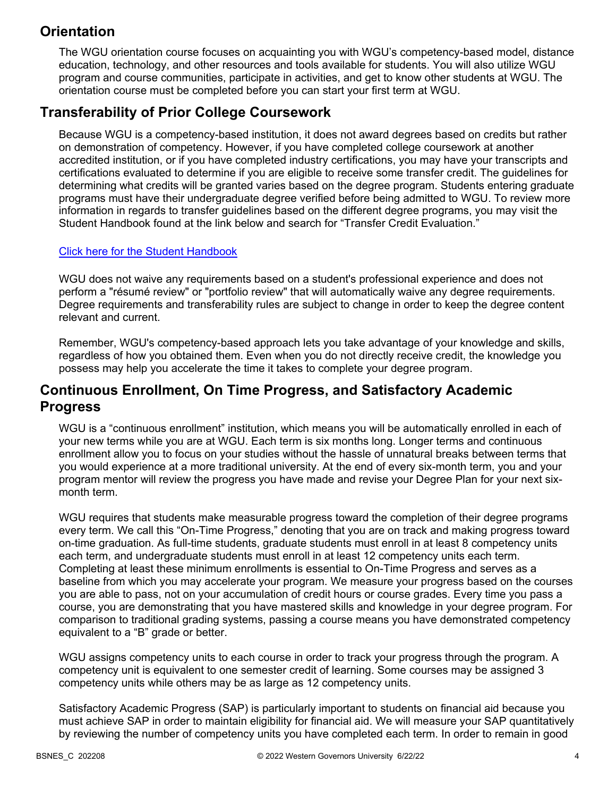## **Orientation**

The WGU orientation course focuses on acquainting you with WGU's competency-based model, distance education, technology, and other resources and tools available for students. You will also utilize WGU program and course communities, participate in activities, and get to know other students at WGU. The orientation course must be completed before you can start your first term at WGU.

## **Transferability of Prior College Coursework**

Because WGU is a competency-based institution, it does not award degrees based on credits but rather on demonstration of competency. However, if you have completed college coursework at another accredited institution, or if you have completed industry certifications, you may have your transcripts and certifications evaluated to determine if you are eligible to receive some transfer credit. The guidelines for determining what credits will be granted varies based on the degree program. Students entering graduate programs must have their undergraduate degree verified before being admitted to WGU. To review more information in regards to transfer guidelines based on the different degree programs, you may visit the Student Handbook found at the link below and search for "Transfer Credit Evaluation."

### [Click here for the Student Handbook](http://cm.wgu.edu/)

WGU does not waive any requirements based on a student's professional experience and does not perform a "résumé review" or "portfolio review" that will automatically waive any degree requirements. Degree requirements and transferability rules are subject to change in order to keep the degree content relevant and current.

Remember, WGU's competency-based approach lets you take advantage of your knowledge and skills, regardless of how you obtained them. Even when you do not directly receive credit, the knowledge you possess may help you accelerate the time it takes to complete your degree program.

## **Continuous Enrollment, On Time Progress, and Satisfactory Academic Progress**

WGU is a "continuous enrollment" institution, which means you will be automatically enrolled in each of your new terms while you are at WGU. Each term is six months long. Longer terms and continuous enrollment allow you to focus on your studies without the hassle of unnatural breaks between terms that you would experience at a more traditional university. At the end of every six-month term, you and your program mentor will review the progress you have made and revise your Degree Plan for your next sixmonth term.

WGU requires that students make measurable progress toward the completion of their degree programs every term. We call this "On-Time Progress," denoting that you are on track and making progress toward on-time graduation. As full-time students, graduate students must enroll in at least 8 competency units each term, and undergraduate students must enroll in at least 12 competency units each term. Completing at least these minimum enrollments is essential to On-Time Progress and serves as a baseline from which you may accelerate your program. We measure your progress based on the courses you are able to pass, not on your accumulation of credit hours or course grades. Every time you pass a course, you are demonstrating that you have mastered skills and knowledge in your degree program. For comparison to traditional grading systems, passing a course means you have demonstrated competency equivalent to a "B" grade or better.

WGU assigns competency units to each course in order to track your progress through the program. A competency unit is equivalent to one semester credit of learning. Some courses may be assigned 3 competency units while others may be as large as 12 competency units.

Satisfactory Academic Progress (SAP) is particularly important to students on financial aid because you must achieve SAP in order to maintain eligibility for financial aid. We will measure your SAP quantitatively by reviewing the number of competency units you have completed each term. In order to remain in good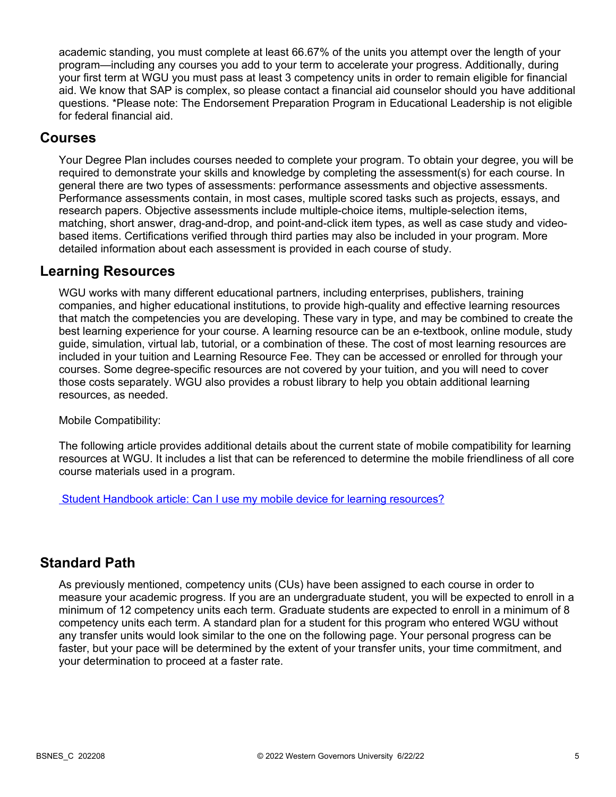academic standing, you must complete at least 66.67% of the units you attempt over the length of your program—including any courses you add to your term to accelerate your progress. Additionally, during your first term at WGU you must pass at least 3 competency units in order to remain eligible for financial aid. We know that SAP is complex, so please contact a financial aid counselor should you have additional questions. \*Please note: The Endorsement Preparation Program in Educational Leadership is not eligible for federal financial aid.

### **Courses**

Your Degree Plan includes courses needed to complete your program. To obtain your degree, you will be required to demonstrate your skills and knowledge by completing the assessment(s) for each course. In general there are two types of assessments: performance assessments and objective assessments. Performance assessments contain, in most cases, multiple scored tasks such as projects, essays, and research papers. Objective assessments include multiple-choice items, multiple-selection items, matching, short answer, drag-and-drop, and point-and-click item types, as well as case study and videobased items. Certifications verified through third parties may also be included in your program. More detailed information about each assessment is provided in each course of study.

### **Learning Resources**

WGU works with many different educational partners, including enterprises, publishers, training companies, and higher educational institutions, to provide high-quality and effective learning resources that match the competencies you are developing. These vary in type, and may be combined to create the best learning experience for your course. A learning resource can be an e-textbook, online module, study guide, simulation, virtual lab, tutorial, or a combination of these. The cost of most learning resources are included in your tuition and Learning Resource Fee. They can be accessed or enrolled for through your courses. Some degree-specific resources are not covered by your tuition, and you will need to cover those costs separately. WGU also provides a robust library to help you obtain additional learning resources, as needed.

Mobile Compatibility:

The following article provides additional details about the current state of mobile compatibility for learning resources at WGU. It includes a list that can be referenced to determine the mobile friendliness of all core course materials used in a program.

 [Student Handbook article: Can I use my mobile device for learning resources?](https://cm.wgu.edu/t5/Frequently-Asked-Questions/Can-I-use-my-mobile-device-for-learning-resources/ta-p/396)

### **Standard Path**

As previously mentioned, competency units (CUs) have been assigned to each course in order to measure your academic progress. If you are an undergraduate student, you will be expected to enroll in a minimum of 12 competency units each term. Graduate students are expected to enroll in a minimum of 8 competency units each term. A standard plan for a student for this program who entered WGU without any transfer units would look similar to the one on the following page. Your personal progress can be faster, but your pace will be determined by the extent of your transfer units, your time commitment, and your determination to proceed at a faster rate.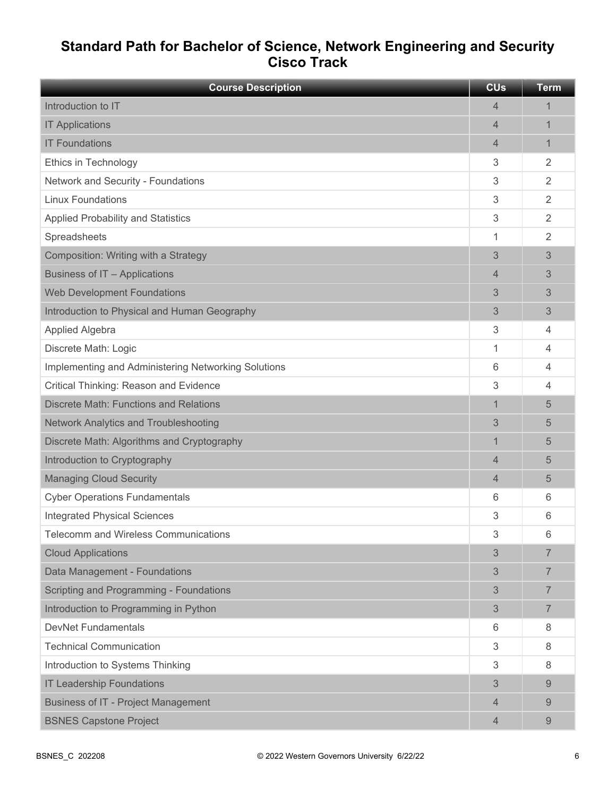## **Standard Path for Bachelor of Science, Network Engineering and Security Cisco Track**

| <b>Course Description</b>                           | <b>CU<sub>s</sub></b> | <b>Term</b>    |
|-----------------------------------------------------|-----------------------|----------------|
| Introduction to IT                                  | 4                     | 1              |
| <b>IT Applications</b>                              | 4                     | 1              |
| <b>IT Foundations</b>                               | 4                     | 1              |
| Ethics in Technology                                | 3                     | 2              |
| Network and Security - Foundations                  | 3                     | $\overline{2}$ |
| <b>Linux Foundations</b>                            | 3                     | $\overline{2}$ |
| <b>Applied Probability and Statistics</b>           | 3                     | $\overline{2}$ |
| Spreadsheets                                        | 1                     | 2              |
| Composition: Writing with a Strategy                | 3                     | 3              |
| Business of IT - Applications                       | 4                     | 3              |
| <b>Web Development Foundations</b>                  | 3                     | 3              |
| Introduction to Physical and Human Geography        | 3                     | 3              |
| Applied Algebra                                     | 3                     | 4              |
| Discrete Math: Logic                                | 1                     | 4              |
| Implementing and Administering Networking Solutions | 6                     | 4              |
| Critical Thinking: Reason and Evidence              | 3                     | 4              |
| <b>Discrete Math: Functions and Relations</b>       | $\mathbf 1$           | 5              |
| Network Analytics and Troubleshooting               | 3                     | 5              |
| Discrete Math: Algorithms and Cryptography          | $\mathbf 1$           | 5              |
| Introduction to Cryptography                        | 4                     | 5              |
| <b>Managing Cloud Security</b>                      | 4                     | 5              |
| <b>Cyber Operations Fundamentals</b>                | 6                     | 6              |
| <b>Integrated Physical Sciences</b>                 | 3                     | 6              |
| <b>Telecomm and Wireless Communications</b>         | 3                     | 6              |
| <b>Cloud Applications</b>                           | 3                     | 7              |
| Data Management - Foundations                       | 3                     | $\overline{7}$ |
| Scripting and Programming - Foundations             | 3                     | $\overline{7}$ |
| Introduction to Programming in Python               | 3                     | $\overline{7}$ |
| <b>DevNet Fundamentals</b>                          | 6                     | 8              |
| <b>Technical Communication</b>                      | 3                     | 8              |
| Introduction to Systems Thinking                    | 3                     | 8              |
| <b>IT Leadership Foundations</b>                    | 3                     | 9              |
| <b>Business of IT - Project Management</b>          | 4                     | 9              |
| <b>BSNES Capstone Project</b>                       | 4                     | 9              |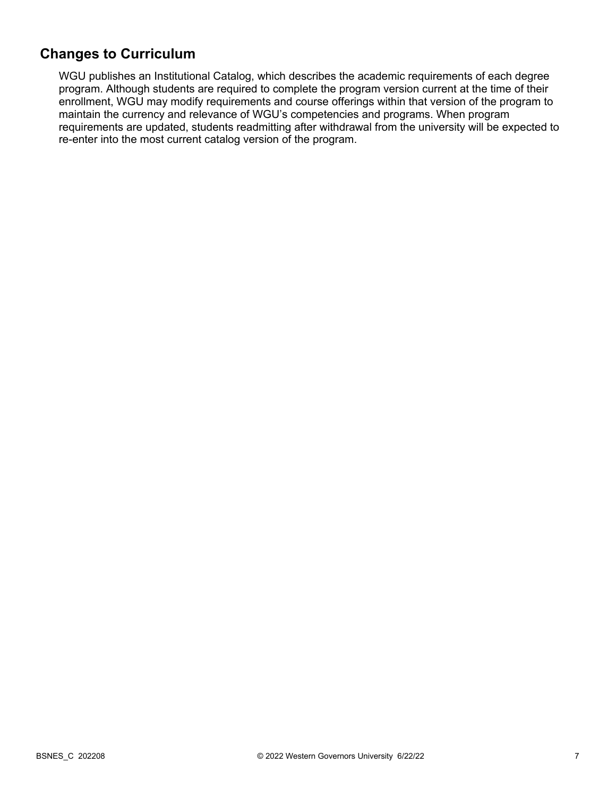## **Changes to Curriculum**

WGU publishes an Institutional Catalog, which describes the academic requirements of each degree program. Although students are required to complete the program version current at the time of their enrollment, WGU may modify requirements and course offerings within that version of the program to maintain the currency and relevance of WGU's competencies and programs. When program requirements are updated, students readmitting after withdrawal from the university will be expected to re-enter into the most current catalog version of the program.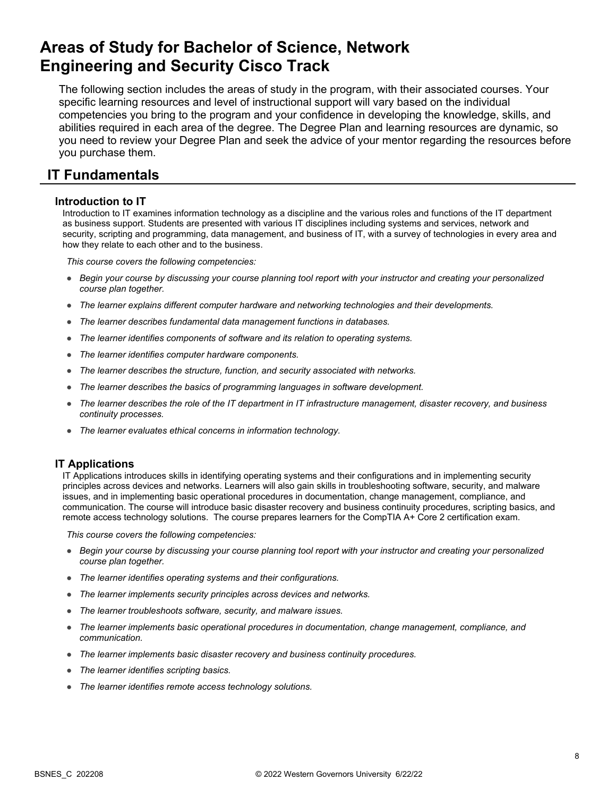# **Areas of Study for Bachelor of Science, Network Engineering and Security Cisco Track**

The following section includes the areas of study in the program, with their associated courses. Your specific learning resources and level of instructional support will vary based on the individual competencies you bring to the program and your confidence in developing the knowledge, skills, and abilities required in each area of the degree. The Degree Plan and learning resources are dynamic, so you need to review your Degree Plan and seek the advice of your mentor regarding the resources before you purchase them.

## **IT Fundamentals**

### **Introduction to IT**

Introduction to IT examines information technology as a discipline and the various roles and functions of the IT department as business support. Students are presented with various IT disciplines including systems and services, network and security, scripting and programming, data management, and business of IT, with a survey of technologies in every area and how they relate to each other and to the business.

*This course covers the following competencies:*

- *Begin your course by discussing your course planning tool report with your instructor and creating your personalized course plan together.*
- *The learner explains different computer hardware and networking technologies and their developments.*
- *The learner describes fundamental data management functions in databases.*
- *The learner identifies components of software and its relation to operating systems.*
- *The learner identifies computer hardware components.*
- *The learner describes the structure, function, and security associated with networks.*
- *The learner describes the basics of programming languages in software development.*
- *The learner describes the role of the IT department in IT infrastructure management, disaster recovery, and business continuity processes.*
- *The learner evaluates ethical concerns in information technology.*

### **IT Applications**

IT Applications introduces skills in identifying operating systems and their configurations and in implementing security principles across devices and networks. Learners will also gain skills in troubleshooting software, security, and malware issues, and in implementing basic operational procedures in documentation, change management, compliance, and communication. The course will introduce basic disaster recovery and business continuity procedures, scripting basics, and remote access technology solutions. The course prepares learners for the CompTIA A+ Core 2 certification exam.

- *Begin your course by discussing your course planning tool report with your instructor and creating your personalized course plan together.*
- *The learner identifies operating systems and their configurations.*
- *The learner implements security principles across devices and networks.*
- *The learner troubleshoots software, security, and malware issues.*
- *The learner implements basic operational procedures in documentation, change management, compliance, and communication.*
- *The learner implements basic disaster recovery and business continuity procedures.*
- *The learner identifies scripting basics.*
- *The learner identifies remote access technology solutions.*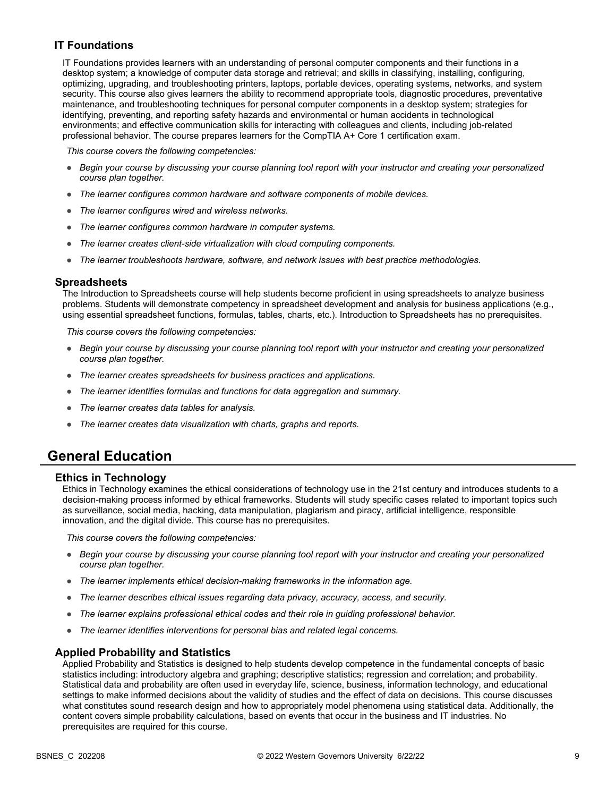### **IT Foundations**

IT Foundations provides learners with an understanding of personal computer components and their functions in a desktop system; a knowledge of computer data storage and retrieval; and skills in classifying, installing, configuring, optimizing, upgrading, and troubleshooting printers, laptops, portable devices, operating systems, networks, and system security. This course also gives learners the ability to recommend appropriate tools, diagnostic procedures, preventative maintenance, and troubleshooting techniques for personal computer components in a desktop system; strategies for identifying, preventing, and reporting safety hazards and environmental or human accidents in technological environments; and effective communication skills for interacting with colleagues and clients, including job-related professional behavior. The course prepares learners for the CompTIA A+ Core 1 certification exam.

*This course covers the following competencies:*

- *Begin your course by discussing your course planning tool report with your instructor and creating your personalized course plan together.*
- *The learner configures common hardware and software components of mobile devices.*
- *The learner configures wired and wireless networks.*
- *The learner configures common hardware in computer systems.*
- *The learner creates client-side virtualization with cloud computing components.*
- *The learner troubleshoots hardware, software, and network issues with best practice methodologies.*

#### **Spreadsheets**

The Introduction to Spreadsheets course will help students become proficient in using spreadsheets to analyze business problems. Students will demonstrate competency in spreadsheet development and analysis for business applications (e.g., using essential spreadsheet functions, formulas, tables, charts, etc.). Introduction to Spreadsheets has no prerequisites.

*This course covers the following competencies:*

- *Begin your course by discussing your course planning tool report with your instructor and creating your personalized course plan together.*
- *The learner creates spreadsheets for business practices and applications.*
- *The learner identifies formulas and functions for data aggregation and summary.*
- *The learner creates data tables for analysis.*
- *The learner creates data visualization with charts, graphs and reports.*

### **General Education**

### **Ethics in Technology**

Ethics in Technology examines the ethical considerations of technology use in the 21st century and introduces students to a decision-making process informed by ethical frameworks. Students will study specific cases related to important topics such as surveillance, social media, hacking, data manipulation, plagiarism and piracy, artificial intelligence, responsible innovation, and the digital divide. This course has no prerequisites.

*This course covers the following competencies:*

- *Begin your course by discussing your course planning tool report with your instructor and creating your personalized course plan together.*
- *The learner implements ethical decision-making frameworks in the information age.*
- *The learner describes ethical issues regarding data privacy, accuracy, access, and security.*
- *The learner explains professional ethical codes and their role in guiding professional behavior.*
- *The learner identifies interventions for personal bias and related legal concerns.*

### **Applied Probability and Statistics**

Applied Probability and Statistics is designed to help students develop competence in the fundamental concepts of basic statistics including: introductory algebra and graphing; descriptive statistics; regression and correlation; and probability. Statistical data and probability are often used in everyday life, science, business, information technology, and educational settings to make informed decisions about the validity of studies and the effect of data on decisions. This course discusses what constitutes sound research design and how to appropriately model phenomena using statistical data. Additionally, the content covers simple probability calculations, based on events that occur in the business and IT industries. No prerequisites are required for this course.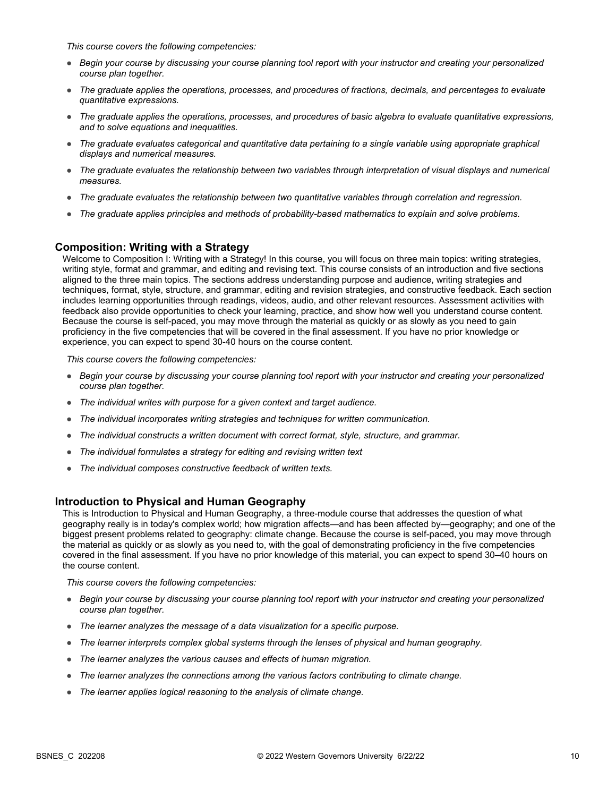*This course covers the following competencies:*

- *Begin your course by discussing your course planning tool report with your instructor and creating your personalized course plan together.*
- *The graduate applies the operations, processes, and procedures of fractions, decimals, and percentages to evaluate quantitative expressions.*
- *The graduate applies the operations, processes, and procedures of basic algebra to evaluate quantitative expressions, and to solve equations and inequalities.*
- *The graduate evaluates categorical and quantitative data pertaining to a single variable using appropriate graphical displays and numerical measures.*
- *The graduate evaluates the relationship between two variables through interpretation of visual displays and numerical measures.*
- *The graduate evaluates the relationship between two quantitative variables through correlation and regression.*
- *The graduate applies principles and methods of probability-based mathematics to explain and solve problems.*

### **Composition: Writing with a Strategy**

Welcome to Composition I: Writing with a Strategy! In this course, you will focus on three main topics: writing strategies, writing style, format and grammar, and editing and revising text. This course consists of an introduction and five sections aligned to the three main topics. The sections address understanding purpose and audience, writing strategies and techniques, format, style, structure, and grammar, editing and revision strategies, and constructive feedback. Each section includes learning opportunities through readings, videos, audio, and other relevant resources. Assessment activities with feedback also provide opportunities to check your learning, practice, and show how well you understand course content. Because the course is self-paced, you may move through the material as quickly or as slowly as you need to gain proficiency in the five competencies that will be covered in the final assessment. If you have no prior knowledge or experience, you can expect to spend 30-40 hours on the course content.

*This course covers the following competencies:*

- *Begin your course by discussing your course planning tool report with your instructor and creating your personalized course plan together.*
- *The individual writes with purpose for a given context and target audience.*
- *The individual incorporates writing strategies and techniques for written communication.*
- *The individual constructs a written document with correct format, style, structure, and grammar.*
- *The individual formulates a strategy for editing and revising written text*
- *The individual composes constructive feedback of written texts.*

### **Introduction to Physical and Human Geography**

This is Introduction to Physical and Human Geography, a three-module course that addresses the question of what geography really is in today's complex world; how migration affects—and has been affected by—geography; and one of the biggest present problems related to geography: climate change. Because the course is self-paced, you may move through the material as quickly or as slowly as you need to, with the goal of demonstrating proficiency in the five competencies covered in the final assessment. If you have no prior knowledge of this material, you can expect to spend 30–40 hours on the course content.

- *Begin your course by discussing your course planning tool report with your instructor and creating your personalized course plan together.*
- *The learner analyzes the message of a data visualization for a specific purpose.*
- *The learner interprets complex global systems through the lenses of physical and human geography.*
- *The learner analyzes the various causes and effects of human migration.*
- *The learner analyzes the connections among the various factors contributing to climate change.*
- *The learner applies logical reasoning to the analysis of climate change.*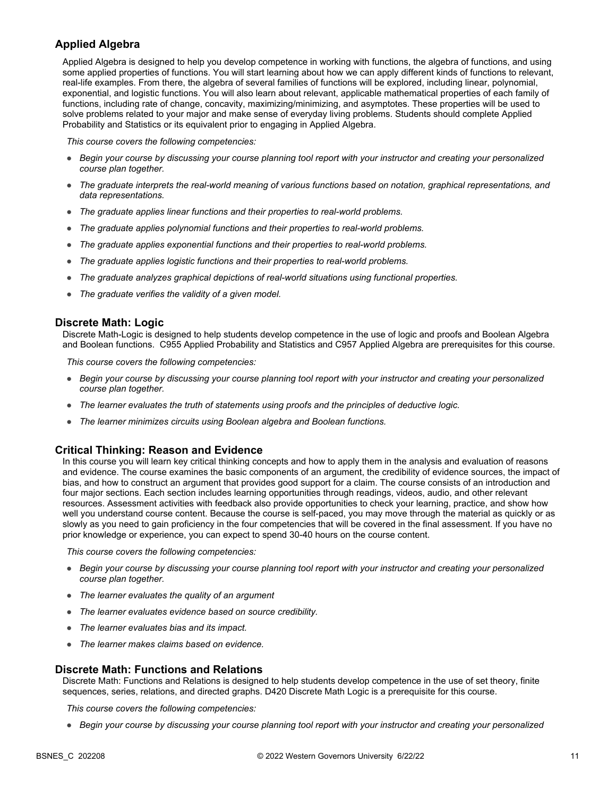### **Applied Algebra**

Applied Algebra is designed to help you develop competence in working with functions, the algebra of functions, and using some applied properties of functions. You will start learning about how we can apply different kinds of functions to relevant, real-life examples. From there, the algebra of several families of functions will be explored, including linear, polynomial, exponential, and logistic functions. You will also learn about relevant, applicable mathematical properties of each family of functions, including rate of change, concavity, maximizing/minimizing, and asymptotes. These properties will be used to solve problems related to your major and make sense of everyday living problems. Students should complete Applied Probability and Statistics or its equivalent prior to engaging in Applied Algebra.

*This course covers the following competencies:*

- *Begin your course by discussing your course planning tool report with your instructor and creating your personalized course plan together.*
- *The graduate interprets the real-world meaning of various functions based on notation, graphical representations, and data representations.*
- *The graduate applies linear functions and their properties to real-world problems.*
- *The graduate applies polynomial functions and their properties to real-world problems.*
- *The graduate applies exponential functions and their properties to real-world problems.*
- *The graduate applies logistic functions and their properties to real-world problems.*
- *The graduate analyzes graphical depictions of real-world situations using functional properties.*
- *The graduate verifies the validity of a given model.*

#### **Discrete Math: Logic**

Discrete Math-Logic is designed to help students develop competence in the use of logic and proofs and Boolean Algebra and Boolean functions. C955 Applied Probability and Statistics and C957 Applied Algebra are prerequisites for this course.

*This course covers the following competencies:*

- *Begin your course by discussing your course planning tool report with your instructor and creating your personalized course plan together.*
- *The learner evaluates the truth of statements using proofs and the principles of deductive logic.*
- *The learner minimizes circuits using Boolean algebra and Boolean functions.*

#### **Critical Thinking: Reason and Evidence**

In this course you will learn key critical thinking concepts and how to apply them in the analysis and evaluation of reasons and evidence. The course examines the basic components of an argument, the credibility of evidence sources, the impact of bias, and how to construct an argument that provides good support for a claim. The course consists of an introduction and four major sections. Each section includes learning opportunities through readings, videos, audio, and other relevant resources. Assessment activities with feedback also provide opportunities to check your learning, practice, and show how well you understand course content. Because the course is self-paced, you may move through the material as quickly or as slowly as you need to gain proficiency in the four competencies that will be covered in the final assessment. If you have no prior knowledge or experience, you can expect to spend 30-40 hours on the course content.

*This course covers the following competencies:*

- *Begin your course by discussing your course planning tool report with your instructor and creating your personalized course plan together.*
- *The learner evaluates the quality of an argument*
- *The learner evaluates evidence based on source credibility.*
- *The learner evaluates bias and its impact.*
- *The learner makes claims based on evidence.*

#### **Discrete Math: Functions and Relations**

Discrete Math: Functions and Relations is designed to help students develop competence in the use of set theory, finite sequences, series, relations, and directed graphs. D420 Discrete Math Logic is a prerequisite for this course.

*This course covers the following competencies:*

● *Begin your course by discussing your course planning tool report with your instructor and creating your personalized*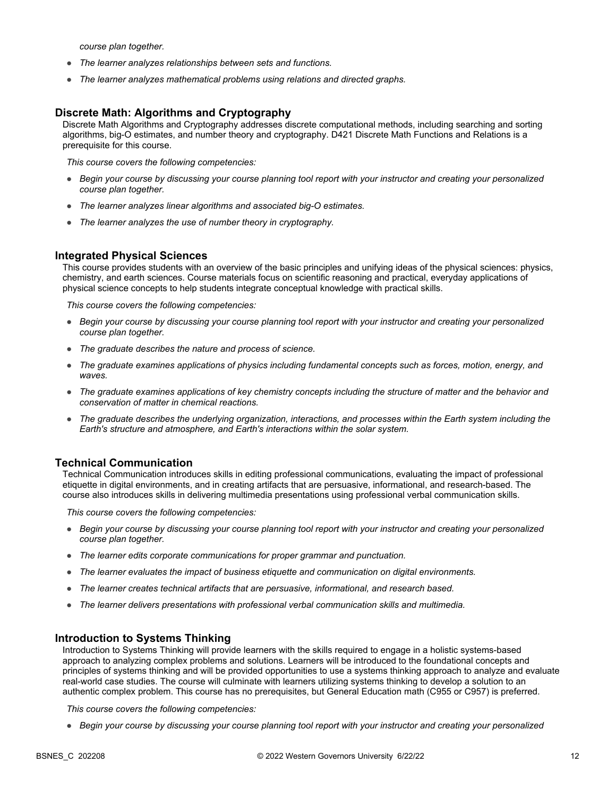*course plan together.*

- *The learner analyzes relationships between sets and functions.*
- *The learner analyzes mathematical problems using relations and directed graphs.*

### **Discrete Math: Algorithms and Cryptography**

Discrete Math Algorithms and Cryptography addresses discrete computational methods, including searching and sorting algorithms, big-O estimates, and number theory and cryptography. D421 Discrete Math Functions and Relations is a prerequisite for this course.

*This course covers the following competencies:*

- *Begin your course by discussing your course planning tool report with your instructor and creating your personalized course plan together.*
- *The learner analyzes linear algorithms and associated big-O estimates.*
- *The learner analyzes the use of number theory in cryptography.*

### **Integrated Physical Sciences**

This course provides students with an overview of the basic principles and unifying ideas of the physical sciences: physics, chemistry, and earth sciences. Course materials focus on scientific reasoning and practical, everyday applications of physical science concepts to help students integrate conceptual knowledge with practical skills.

*This course covers the following competencies:*

- *Begin your course by discussing your course planning tool report with your instructor and creating your personalized course plan together.*
- *The graduate describes the nature and process of science.*
- *The graduate examines applications of physics including fundamental concepts such as forces, motion, energy, and waves.*
- *The graduate examines applications of key chemistry concepts including the structure of matter and the behavior and conservation of matter in chemical reactions.*
- *The graduate describes the underlying organization, interactions, and processes within the Earth system including the Earth's structure and atmosphere, and Earth's interactions within the solar system.*

### **Technical Communication**

Technical Communication introduces skills in editing professional communications, evaluating the impact of professional etiquette in digital environments, and in creating artifacts that are persuasive, informational, and research-based. The course also introduces skills in delivering multimedia presentations using professional verbal communication skills.

*This course covers the following competencies:*

- *Begin your course by discussing your course planning tool report with your instructor and creating your personalized course plan together.*
- *The learner edits corporate communications for proper grammar and punctuation.*
- *The learner evaluates the impact of business etiquette and communication on digital environments.*
- *The learner creates technical artifacts that are persuasive, informational, and research based.*
- *The learner delivers presentations with professional verbal communication skills and multimedia.*

### **Introduction to Systems Thinking**

Introduction to Systems Thinking will provide learners with the skills required to engage in a holistic systems-based approach to analyzing complex problems and solutions. Learners will be introduced to the foundational concepts and principles of systems thinking and will be provided opportunities to use a systems thinking approach to analyze and evaluate real-world case studies. The course will culminate with learners utilizing systems thinking to develop a solution to an authentic complex problem. This course has no prerequisites, but General Education math (C955 or C957) is preferred.

*This course covers the following competencies:*

● *Begin your course by discussing your course planning tool report with your instructor and creating your personalized*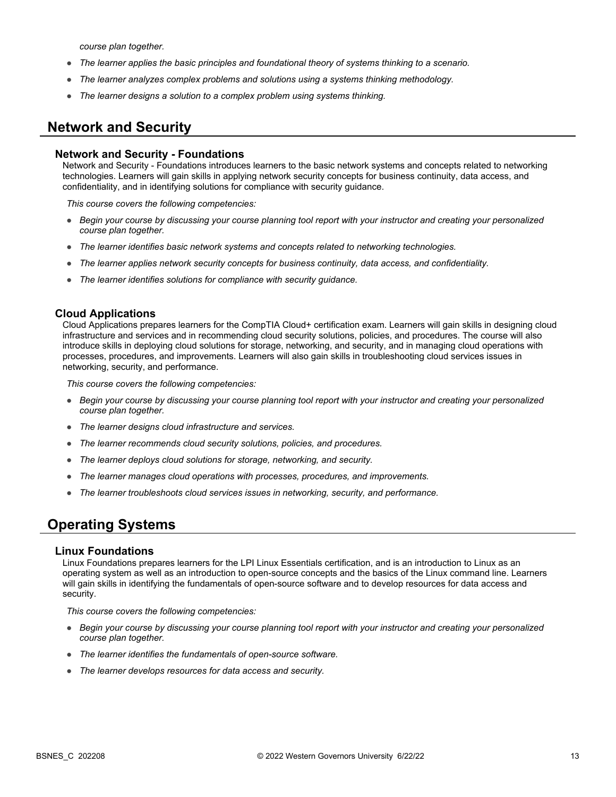*course plan together.*

- *The learner applies the basic principles and foundational theory of systems thinking to a scenario.*
- *The learner analyzes complex problems and solutions using a systems thinking methodology.*
- *The learner designs a solution to a complex problem using systems thinking.*

## **Network and Security**

### **Network and Security - Foundations**

Network and Security - Foundations introduces learners to the basic network systems and concepts related to networking technologies. Learners will gain skills in applying network security concepts for business continuity, data access, and confidentiality, and in identifying solutions for compliance with security guidance.

*This course covers the following competencies:*

- *Begin your course by discussing your course planning tool report with your instructor and creating your personalized course plan together.*
- *The learner identifies basic network systems and concepts related to networking technologies.*
- *The learner applies network security concepts for business continuity, data access, and confidentiality.*
- *The learner identifies solutions for compliance with security guidance.*

### **Cloud Applications**

Cloud Applications prepares learners for the CompTIA Cloud+ certification exam. Learners will gain skills in designing cloud infrastructure and services and in recommending cloud security solutions, policies, and procedures. The course will also introduce skills in deploying cloud solutions for storage, networking, and security, and in managing cloud operations with processes, procedures, and improvements. Learners will also gain skills in troubleshooting cloud services issues in networking, security, and performance.

*This course covers the following competencies:*

- *Begin your course by discussing your course planning tool report with your instructor and creating your personalized course plan together.*
- *The learner designs cloud infrastructure and services.*
- *The learner recommends cloud security solutions, policies, and procedures.*
- *The learner deploys cloud solutions for storage, networking, and security.*
- *The learner manages cloud operations with processes, procedures, and improvements.*
- *The learner troubleshoots cloud services issues in networking, security, and performance.*

## **Operating Systems**

### **Linux Foundations**

Linux Foundations prepares learners for the LPI Linux Essentials certification, and is an introduction to Linux as an operating system as well as an introduction to open-source concepts and the basics of the Linux command line. Learners will gain skills in identifying the fundamentals of open-source software and to develop resources for data access and security.

- *Begin your course by discussing your course planning tool report with your instructor and creating your personalized course plan together.*
- *The learner identifies the fundamentals of open-source software.*
- *The learner develops resources for data access and security.*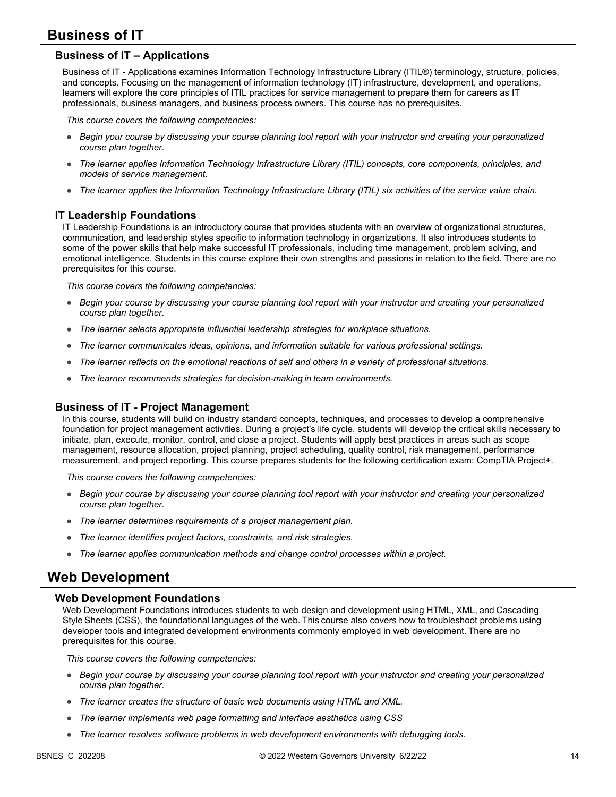## **Business of IT**

### **Business of IT – Applications**

Business of IT - Applications examines Information Technology Infrastructure Library (ITIL®) terminology, structure, policies, and concepts. Focusing on the management of information technology (IT) infrastructure, development, and operations, learners will explore the core principles of ITIL practices for service management to prepare them for careers as IT professionals, business managers, and business process owners. This course has no prerequisites.

*This course covers the following competencies:*

- *Begin your course by discussing your course planning tool report with your instructor and creating your personalized course plan together.*
- *The learner applies Information Technology Infrastructure Library (ITIL) concepts, core components, principles, and models of service management.*
- *The learner applies the Information Technology Infrastructure Library (ITIL) six activities of the service value chain.*

### **IT Leadership Foundations**

IT Leadership Foundations is an introductory course that provides students with an overview of organizational structures, communication, and leadership styles specific to information technology in organizations. It also introduces students to some of the power skills that help make successful IT professionals, including time management, problem solving, and emotional intelligence. Students in this course explore their own strengths and passions in relation to the field. There are no prerequisites for this course.

*This course covers the following competencies:*

- *Begin your course by discussing your course planning tool report with your instructor and creating your personalized course plan together.*
- *The learner selects appropriate influential leadership strategies for workplace situations.*
- *The learner communicates ideas, opinions, and information suitable for various professional settings.*
- *The learner reflects on the emotional reactions of self and others in a variety of professional situations.*
- *The learner recommends strategies for decision-making in team environments.*

### **Business of IT - Project Management**

In this course, students will build on industry standard concepts, techniques, and processes to develop a comprehensive foundation for project management activities. During a project's life cycle, students will develop the critical skills necessary to initiate, plan, execute, monitor, control, and close a project. Students will apply best practices in areas such as scope management, resource allocation, project planning, project scheduling, quality control, risk management, performance measurement, and project reporting. This course prepares students for the following certification exam: CompTIA Project+.

*This course covers the following competencies:*

- *Begin your course by discussing your course planning tool report with your instructor and creating your personalized course plan together.*
- *The learner determines requirements of a project management plan.*
- *The learner identifies project factors, constraints, and risk strategies.*
- *The learner applies communication methods and change control processes within a project.*

### **Web Development**

### **Web Development Foundations**

Web Development Foundations introduces students to web design and development using HTML, XML, and Cascading Style Sheets (CSS), the foundational languages of the web. This course also covers how to troubleshoot problems using developer tools and integrated development environments commonly employed in web development. There are no prerequisites for this course. 

- *Begin your course by discussing your course planning tool report with your instructor and creating your personalized course plan together.*
- *The learner creates the structure of basic web documents using HTML and XML.*
- *The learner implements web page formatting and interface aesthetics using CSS*
- *The learner resolves software problems in web development environments with debugging tools.*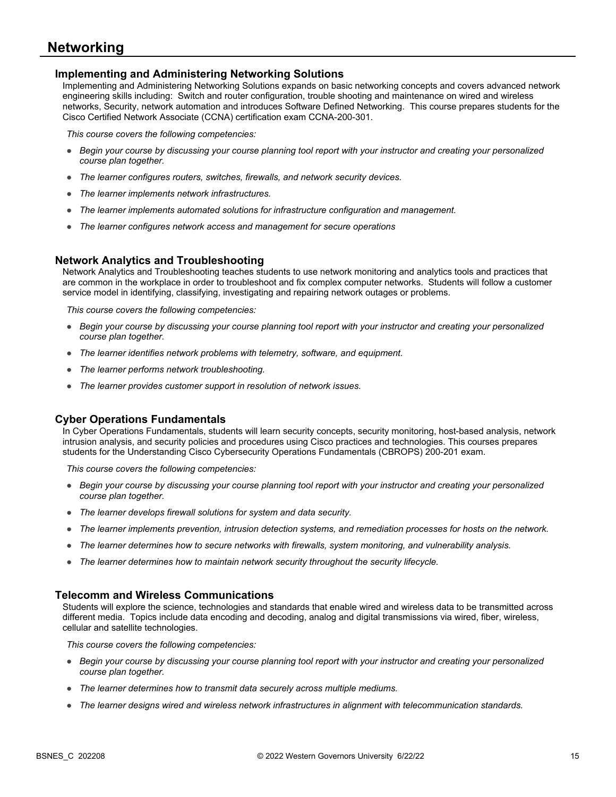### **Networking**

### **Implementing and Administering Networking Solutions**

Implementing and Administering Networking Solutions expands on basic networking concepts and covers advanced network engineering skills including: Switch and router configuration, trouble shooting and maintenance on wired and wireless networks, Security, network automation and introduces Software Defined Networking. This course prepares students for the Cisco Certified Network Associate (CCNA) certification exam CCNA-200-301.

*This course covers the following competencies:*

- *Begin your course by discussing your course planning tool report with your instructor and creating your personalized course plan together.*
- *The learner configures routers, switches, firewalls, and network security devices.*
- *The learner implements network infrastructures.*
- *The learner implements automated solutions for infrastructure configuration and management.*
- *The learner configures network access and management for secure operations*

### **Network Analytics and Troubleshooting**

Network Analytics and Troubleshooting teaches students to use network monitoring and analytics tools and practices that are common in the workplace in order to troubleshoot and fix complex computer networks. Students will follow a customer service model in identifying, classifying, investigating and repairing network outages or problems.

*This course covers the following competencies:*

- *Begin your course by discussing your course planning tool report with your instructor and creating your personalized course plan together.*
- *The learner identifies network problems with telemetry, software, and equipment.*
- *The learner performs network troubleshooting.*
- *The learner provides customer support in resolution of network issues.*

### **Cyber Operations Fundamentals**

In Cyber Operations Fundamentals, students will learn security concepts, security monitoring, host-based analysis, network intrusion analysis, and security policies and procedures using Cisco practices and technologies. This courses prepares students for the Understanding Cisco Cybersecurity Operations Fundamentals (CBROPS) 200-201 exam.

*This course covers the following competencies:*

- *Begin your course by discussing your course planning tool report with your instructor and creating your personalized course plan together.*
- *The learner develops firewall solutions for system and data security.*
- *The learner implements prevention, intrusion detection systems, and remediation processes for hosts on the network.*
- *The learner determines how to secure networks with firewalls, system monitoring, and vulnerability analysis.*
- *The learner determines how to maintain network security throughout the security lifecycle.*

### **Telecomm and Wireless Communications**

Students will explore the science, technologies and standards that enable wired and wireless data to be transmitted across different media. Topics include data encoding and decoding, analog and digital transmissions via wired, fiber, wireless, cellular and satellite technologies.

- *Begin your course by discussing your course planning tool report with your instructor and creating your personalized course plan together.*
- *The learner determines how to transmit data securely across multiple mediums.*
- *The learner designs wired and wireless network infrastructures in alignment with telecommunication standards.*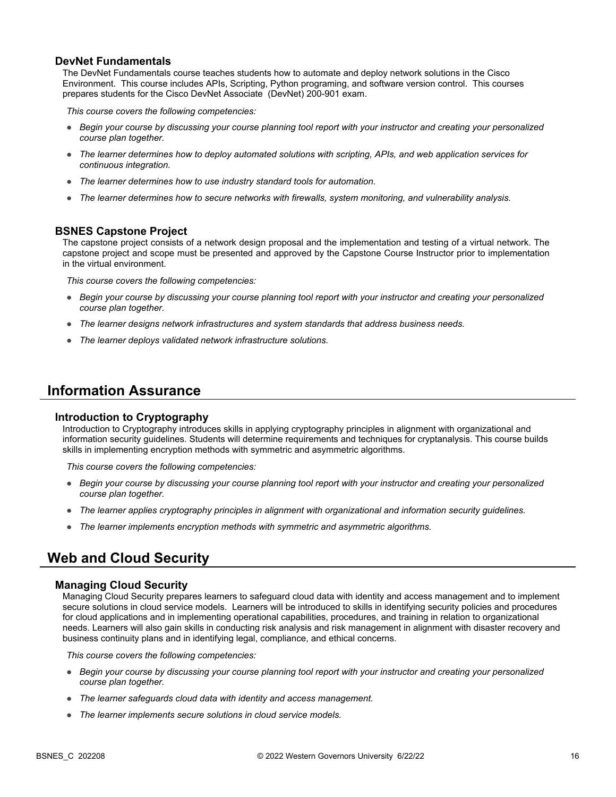### **DevNet Fundamentals**

The DevNet Fundamentals course teaches students how to automate and deploy network solutions in the Cisco Environment. This course includes APIs, Scripting, Python programing, and software version control. This courses prepares students for the Cisco DevNet Associate (DevNet) 200-901 exam.

*This course covers the following competencies:*

- *Begin your course by discussing your course planning tool report with your instructor and creating your personalized course plan together.*
- *The learner determines how to deploy automated solutions with scripting, APIs, and web application services for continuous integration.*
- *The learner determines how to use industry standard tools for automation.*
- *The learner determines how to secure networks with firewalls, system monitoring, and vulnerability analysis.*

### **BSNES Capstone Project**

The capstone project consists of a network design proposal and the implementation and testing of a virtual network. The capstone project and scope must be presented and approved by the Capstone Course Instructor prior to implementation in the virtual environment.

*This course covers the following competencies:*

- *Begin your course by discussing your course planning tool report with your instructor and creating your personalized course plan together.*
- *The learner designs network infrastructures and system standards that address business needs.*
- *The learner deploys validated network infrastructure solutions.*

### **Information Assurance**

### **Introduction to Cryptography**

Introduction to Cryptography introduces skills in applying cryptography principles in alignment with organizational and information security guidelines. Students will determine requirements and techniques for cryptanalysis. This course builds skills in implementing encryption methods with symmetric and asymmetric algorithms.

*This course covers the following competencies:*

- *Begin your course by discussing your course planning tool report with your instructor and creating your personalized course plan together.*
- *The learner applies cryptography principles in alignment with organizational and information security guidelines.*
- *The learner implements encryption methods with symmetric and asymmetric algorithms.*

## **Web and Cloud Security**

### **Managing Cloud Security**

Managing Cloud Security prepares learners to safeguard cloud data with identity and access management and to implement secure solutions in cloud service models. Learners will be introduced to skills in identifying security policies and procedures for cloud applications and in implementing operational capabilities, procedures, and training in relation to organizational needs. Learners will also gain skills in conducting risk analysis and risk management in alignment with disaster recovery and business continuity plans and in identifying legal, compliance, and ethical concerns.

- *Begin your course by discussing your course planning tool report with your instructor and creating your personalized course plan together.*
- *The learner safeguards cloud data with identity and access management.*
- *The learner implements secure solutions in cloud service models.*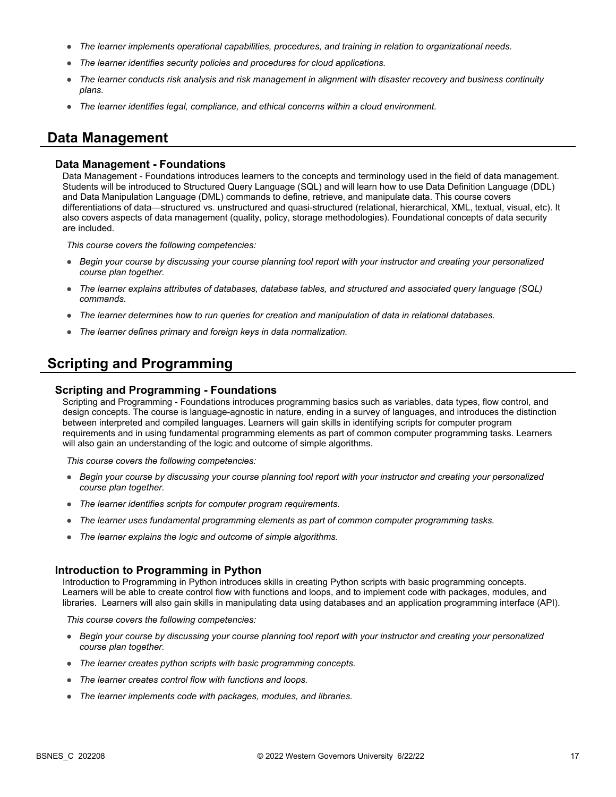- *The learner implements operational capabilities, procedures, and training in relation to organizational needs.*
- *The learner identifies security policies and procedures for cloud applications.*
- *The learner conducts risk analysis and risk management in alignment with disaster recovery and business continuity plans.*
- *The learner identifies legal, compliance, and ethical concerns within a cloud environment.*

### **Data Management**

#### **Data Management - Foundations**

Data Management - Foundations introduces learners to the concepts and terminology used in the field of data management. Students will be introduced to Structured Query Language (SQL) and will learn how to use Data Definition Language (DDL) and Data Manipulation Language (DML) commands to define, retrieve, and manipulate data. This course covers differentiations of data—structured vs. unstructured and quasi-structured (relational, hierarchical, XML, textual, visual, etc). It also covers aspects of data management (quality, policy, storage methodologies). Foundational concepts of data security are included.

*This course covers the following competencies:*

- *Begin your course by discussing your course planning tool report with your instructor and creating your personalized course plan together.*
- *The learner explains attributes of databases, database tables, and structured and associated query language (SQL) commands.*
- *The learner determines how to run queries for creation and manipulation of data in relational databases.*
- *The learner defines primary and foreign keys in data normalization.*

## **Scripting and Programming**

#### **Scripting and Programming - Foundations**

Scripting and Programming - Foundations introduces programming basics such as variables, data types, flow control, and design concepts. The course is language-agnostic in nature, ending in a survey of languages, and introduces the distinction between interpreted and compiled languages. Learners will gain skills in identifying scripts for computer program requirements and in using fundamental programming elements as part of common computer programming tasks. Learners will also gain an understanding of the logic and outcome of simple algorithms.

*This course covers the following competencies:*

- *Begin your course by discussing your course planning tool report with your instructor and creating your personalized course plan together.*
- *The learner identifies scripts for computer program requirements.*
- *The learner uses fundamental programming elements as part of common computer programming tasks.*
- *The learner explains the logic and outcome of simple algorithms.*

#### **Introduction to Programming in Python**

Introduction to Programming in Python introduces skills in creating Python scripts with basic programming concepts. Learners will be able to create control flow with functions and loops, and to implement code with packages, modules, and libraries. Learners will also gain skills in manipulating data using databases and an application programming interface (API).

- *Begin your course by discussing your course planning tool report with your instructor and creating your personalized course plan together.*
- *The learner creates python scripts with basic programming concepts.*
- *The learner creates control flow with functions and loops.*
- *The learner implements code with packages, modules, and libraries.*